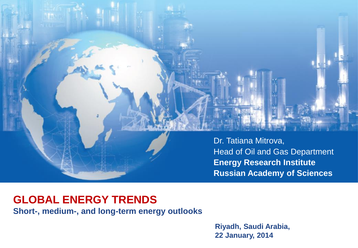

# **GLOBAL ENERGY TRENDS**

**Short-, medium-, and long-term energy outlooks**

**Riyadh, Saudi Arabia, 22 January, 2014**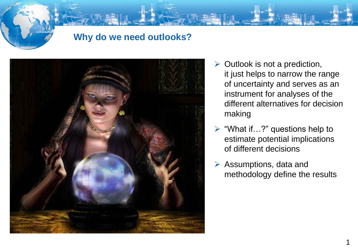#### **Why do we need outlooks?**



- $\triangleright$  Outlook is not a prediction, it just helps to narrow the range of uncertainty and serves as an instrument for analyses of the different alternatives for decision making
- $\triangleright$  "What if...?" questions help to estimate potential implications of different decisions
- $\triangleright$  Assumptions, data and methodology define the results

1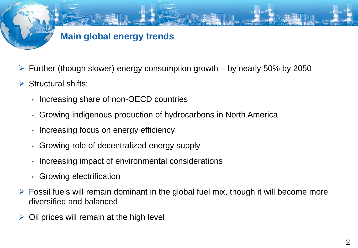## **Main global energy trends**

- $\triangleright$  Further (though slower) energy consumption growth by nearly 50% by 2050
- $\triangleright$  Structural shifts:
	- Increasing share of non-OECD countries
	- Growing indigenous production of hydrocarbons in North America
	- Increasing focus on energy efficiency
	- Growing role of decentralized energy supply
	- Increasing impact of environmental considerations
	- Growing electrification
- $\triangleright$  Fossil fuels will remain dominant in the global fuel mix, though it will become more diversified and balanced
- Oil prices will remain at the high level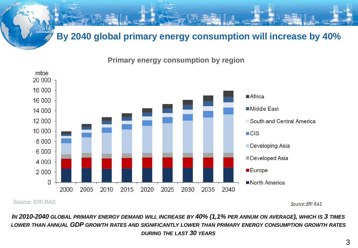### **By 2040 global primary energy consumption will increase by 40%**

**Primary energy consumption by region**



*Source: ERI RAS*

Source: ERI RAS

In 2010-2040 GLOBAL PRIMARY ENERGY DEMAND WILL INCREASE BY 40% (1,1% PER ANNUM ON AVERAGE), WHICH IS 3 TIMES *LOWER THAN ANNUAL GDP GROWTH RATES AND SIGNIFICANTLY LOWER THAN PRIMARY ENERGY CONSUMPTION GROWTH RATES DURING THE LAST 30 YEARS*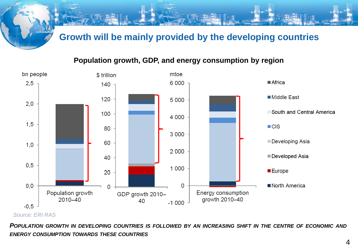#### **Growth will be mainly provided by the developing countries**

#### **Population growth, GDP, and energy consumption by region**



#### *Source: ERI RAS*

POPULATION GROWTH IN DEVELOPING COUNTRIES IS FOLLOWED BY AN INCREASING SHIFT IN THE CENTRE OF ECONOMIC AND *ENERGY CONSUMPTION TOWARDS THESE COUNTRIES*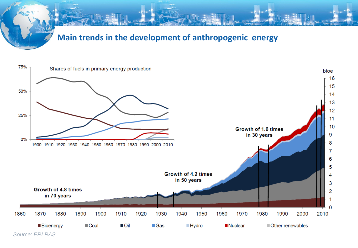



*Source: ERI RAS*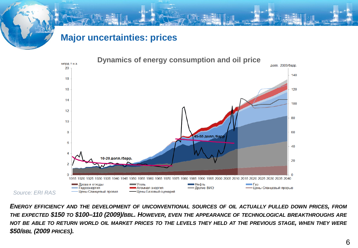#### **Major uncertainties: prices**



*ENERGY EFFICIENCY AND THE DEVELOPMENT OF UNCONVENTIONAL SOURCES OF OIL ACTUALLY PULLED DOWN PRICES, FROM* THE EXPECTED \$150 TO \$100-110 (2009)/BBL. HOWEVER, EVEN THE APPEARANCE OF TECHNOLOGICAL BREAKTHROUGHS ARE NOT BE ABLE TO RETURN WORLD OIL MARKET PRICES TO THE LEVELS THEY HELD AT THE PREVIOUS STAGE, WHEN THEY WERE *\$50/BBL (2009 PRICES).*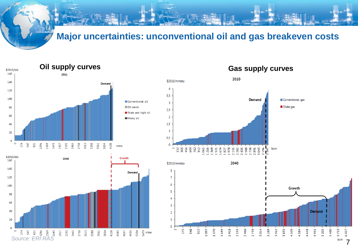#### **Major uncertainties: unconventional oil and gas breakeven costs**



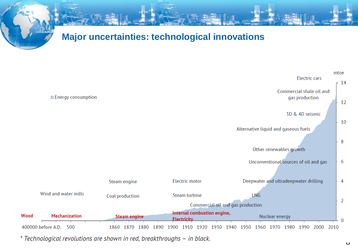



\* Technological revolutions are shown in red, breakthroughs - in black.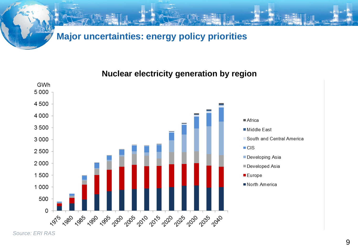### **Major uncertainties: energy policy priorities**

**Nuclear electricity generation by region**



*Source: ERI RAS*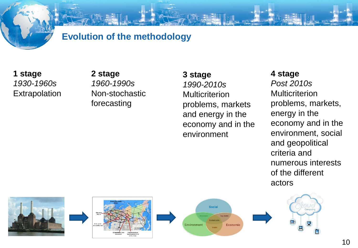#### **Evolution of the methodology**

**1 stage** *1930-1960s* **Extrapolation**  **2 stage** *1960-1990s* Non-stochastic forecasting

**3 stage** *1990-2010s* **Multicriterion** problems, markets and energy in the economy and in the environment

**4 stage** *Post 2010s* **Multicriterion** problems, markets, energy in the economy and in the environment, social and geopolitical criteria and numerous interests of the different actors